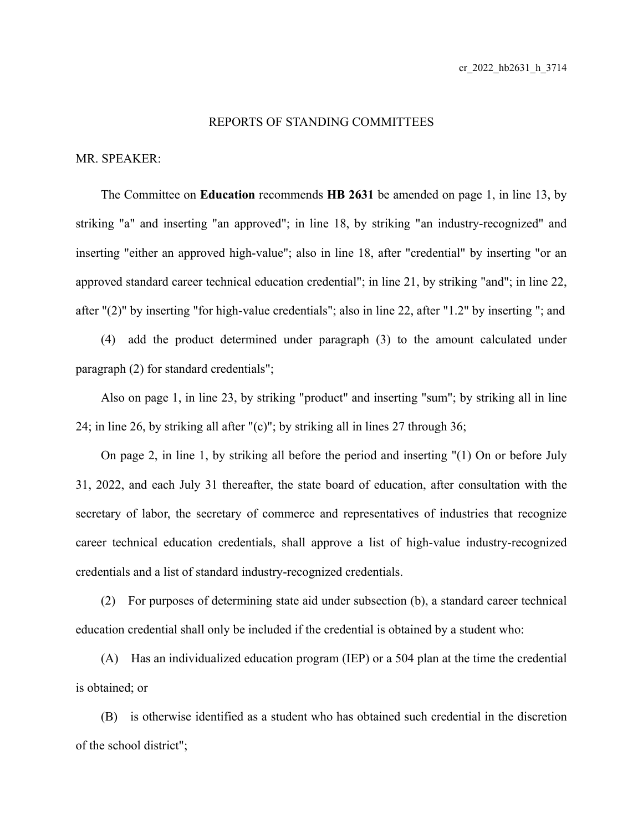## REPORTS OF STANDING COMMITTEES

## MR. SPEAKER:

The Committee on **Education** recommends **HB 2631** be amended on page 1, in line 13, by striking "a" and inserting "an approved"; in line 18, by striking "an industry-recognized" and inserting "either an approved high-value"; also in line 18, after "credential" by inserting "or an approved standard career technical education credential"; in line 21, by striking "and"; in line 22, after "(2)" by inserting "for high-value credentials"; also in line 22, after "1.2" by inserting "; and

(4) add the product determined under paragraph (3) to the amount calculated under paragraph (2) for standard credentials";

Also on page 1, in line 23, by striking "product" and inserting "sum"; by striking all in line 24; in line 26, by striking all after "(c)"; by striking all in lines 27 through 36;

On page 2, in line 1, by striking all before the period and inserting "(1) On or before July 31, 2022, and each July 31 thereafter, the state board of education, after consultation with the secretary of labor, the secretary of commerce and representatives of industries that recognize career technical education credentials, shall approve a list of high-value industry-recognized credentials and a list of standard industry-recognized credentials.

(2) For purposes of determining state aid under subsection (b), a standard career technical education credential shall only be included if the credential is obtained by a student who:

(A) Has an individualized education program (IEP) or a 504 plan at the time the credential is obtained; or

(B) is otherwise identified as a student who has obtained such credential in the discretion of the school district";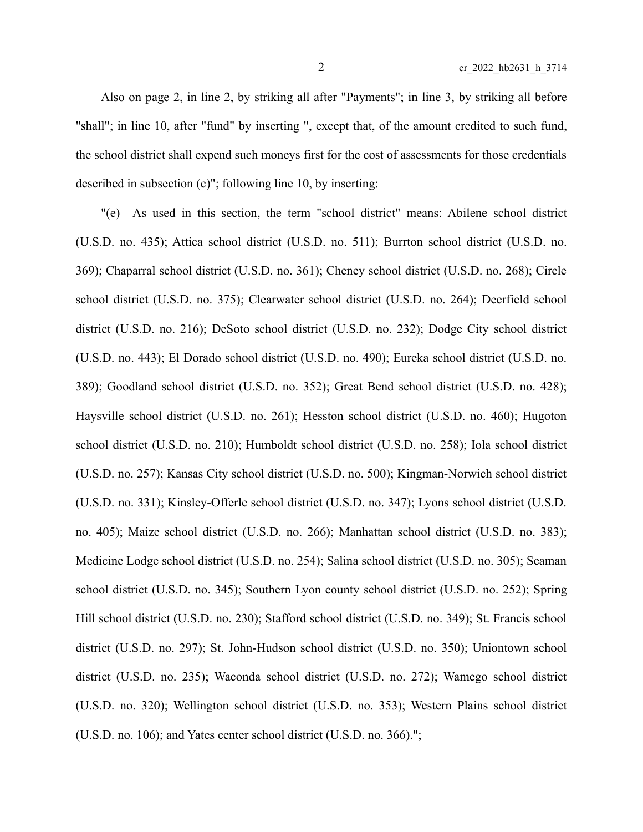Also on page 2, in line 2, by striking all after "Payments"; in line 3, by striking all before "shall"; in line 10, after "fund" by inserting ", except that, of the amount credited to such fund, the school district shall expend such moneys first for the cost of assessments for those credentials described in subsection (c)"; following line 10, by inserting:

"(e) As used in this section, the term "school district" means: Abilene school district (U.S.D. no. 435); Attica school district (U.S.D. no. 511); Burrton school district (U.S.D. no. 369); Chaparral school district (U.S.D. no. 361); Cheney school district (U.S.D. no. 268); Circle school district (U.S.D. no. 375); Clearwater school district (U.S.D. no. 264); Deerfield school district (U.S.D. no. 216); DeSoto school district (U.S.D. no. 232); Dodge City school district (U.S.D. no. 443); El Dorado school district (U.S.D. no. 490); Eureka school district (U.S.D. no. 389); Goodland school district (U.S.D. no. 352); Great Bend school district (U.S.D. no. 428); Haysville school district (U.S.D. no. 261); Hesston school district (U.S.D. no. 460); Hugoton school district (U.S.D. no. 210); Humboldt school district (U.S.D. no. 258); Iola school district (U.S.D. no. 257); Kansas City school district (U.S.D. no. 500); Kingman-Norwich school district (U.S.D. no. 331); Kinsley-Offerle school district (U.S.D. no. 347); Lyons school district (U.S.D. no. 405); Maize school district (U.S.D. no. 266); Manhattan school district (U.S.D. no. 383); Medicine Lodge school district (U.S.D. no. 254); Salina school district (U.S.D. no. 305); Seaman school district (U.S.D. no. 345); Southern Lyon county school district (U.S.D. no. 252); Spring Hill school district (U.S.D. no. 230); Stafford school district (U.S.D. no. 349); St. Francis school district (U.S.D. no. 297); St. John-Hudson school district (U.S.D. no. 350); Uniontown school district (U.S.D. no. 235); Waconda school district (U.S.D. no. 272); Wamego school district (U.S.D. no. 320); Wellington school district (U.S.D. no. 353); Western Plains school district (U.S.D. no. 106); and Yates center school district (U.S.D. no. 366).";